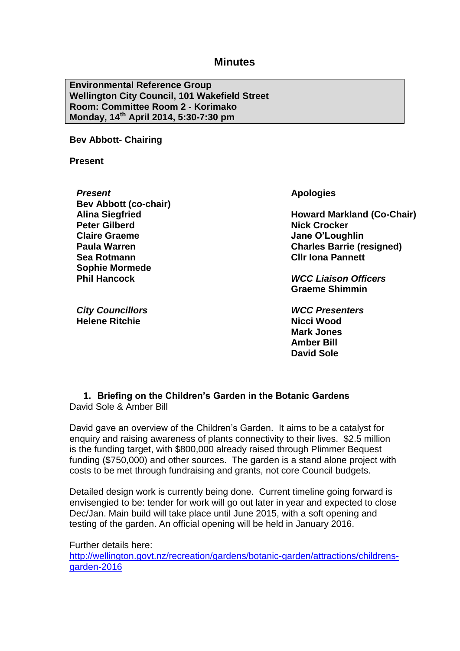**Environmental Reference Group Wellington City Council, 101 Wakefield Street Room: Committee Room 2 - Korimako Monday, 14th April 2014, 5:30-7:30 pm**

**Bev Abbott- Chairing**

**Present**

*Present* **Bev Abbott (co-chair) Alina Siegfried Peter Gilberd Claire Graeme Paula Warren Sea Rotmann Sophie Mormede Phil Hancock**

*City Councillors* **Helene Ritchie**

**Apologies**

**Howard Markland (Co-Chair) Nick Crocker Jane O'Loughlin Charles Barrie (resigned) Cllr Iona Pannett**

*WCC Liaison Officers* **Graeme Shimmin**

*WCC Presenters* **Nicci Wood Mark Jones Amber Bill David Sole**

#### **1. Briefing on the Children's Garden in the Botanic Gardens** David Sole & Amber Bill

David gave an overview of the Children's Garden. It aims to be a catalyst for enquiry and raising awareness of plants connectivity to their lives. \$2.5 million is the funding target, with \$800,000 already raised through Plimmer Bequest funding (\$750,000) and other sources. The garden is a stand alone project with costs to be met through fundraising and grants, not core Council budgets.

Detailed design work is currently being done. Current timeline going forward is envisengied to be: tender for work will go out later in year and expected to close Dec/Jan. Main build will take place until June 2015, with a soft opening and testing of the garden. An official opening will be held in January 2016.

Further details here: [http://wellington.govt.nz/recreation/gardens/botanic-garden/attractions/childrens](http://wellington.govt.nz/recreation/gardens/botanic-garden/attractions/childrens-garden-2016)[garden-2016](http://wellington.govt.nz/recreation/gardens/botanic-garden/attractions/childrens-garden-2016)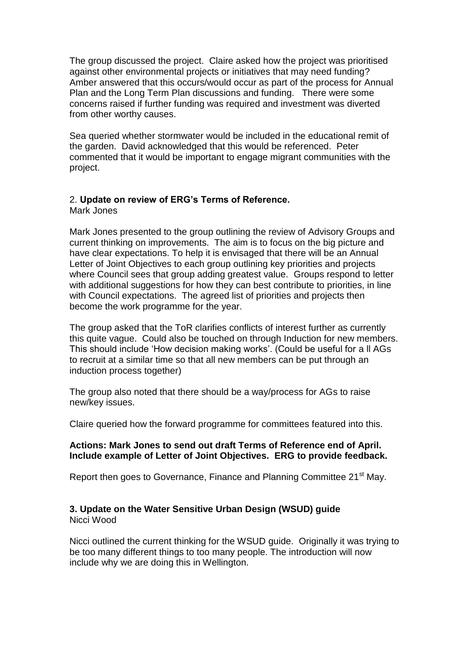The group discussed the project. Claire asked how the project was prioritised against other environmental projects or initiatives that may need funding? Amber answered that this occurs/would occur as part of the process for Annual Plan and the Long Term Plan discussions and funding. There were some concerns raised if further funding was required and investment was diverted from other worthy causes.

Sea queried whether stormwater would be included in the educational remit of the garden. David acknowledged that this would be referenced. Peter commented that it would be important to engage migrant communities with the project.

# 2. **Update on review of ERG's Terms of Reference.**

Mark Jones

Mark Jones presented to the group outlining the review of Advisory Groups and current thinking on improvements. The aim is to focus on the big picture and have clear expectations. To help it is envisaged that there will be an Annual Letter of Joint Objectives to each group outlining key priorities and projects where Council sees that group adding greatest value. Groups respond to letter with additional suggestions for how they can best contribute to priorities, in line with Council expectations. The agreed list of priorities and projects then become the work programme for the year.

The group asked that the ToR clarifies conflicts of interest further as currently this quite vague. Could also be touched on through Induction for new members. This should include 'How decision making works'. (Could be useful for a ll AGs to recruit at a similar time so that all new members can be put through an induction process together)

The group also noted that there should be a way/process for AGs to raise new/key issues.

Claire queried how the forward programme for committees featured into this.

# **Actions: Mark Jones to send out draft Terms of Reference end of April. Include example of Letter of Joint Objectives. ERG to provide feedback.**

Report then goes to Governance, Finance and Planning Committee 21<sup>st</sup> May.

#### **3. Update on the Water Sensitive Urban Design (WSUD) guide** Nicci Wood

Nicci outlined the current thinking for the WSUD guide. Originally it was trying to be too many different things to too many people. The introduction will now include why we are doing this in Wellington.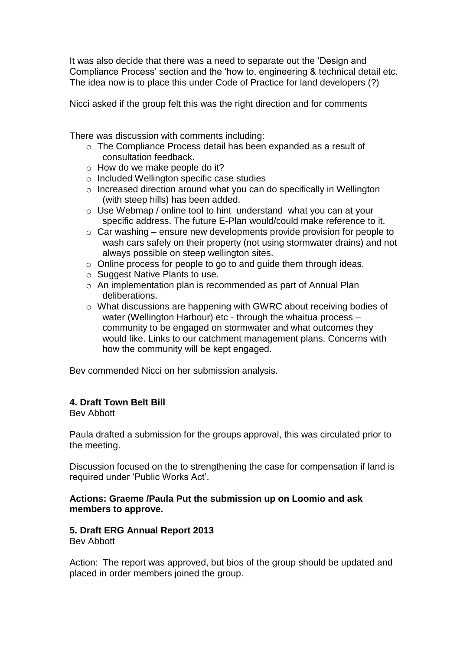It was also decide that there was a need to separate out the 'Design and Compliance Process' section and the 'how to, engineering & technical detail etc. The idea now is to place this under Code of Practice for land developers (?)

Nicci asked if the group felt this was the right direction and for comments

There was discussion with comments including:

- o The Compliance Process detail has been expanded as a result of consultation feedback.
- o How do we make people do it?
- o Included Wellington specific case studies
- o Increased direction around what you can do specifically in Wellington (with steep hills) has been added.
- o Use Webmap / online tool to hint understand what you can at your specific address. The future E-Plan would/could make reference to it.
- $\circ$  Car washing ensure new developments provide provision for people to wash cars safely on their property (not using stormwater drains) and not always possible on steep wellington sites.
- o Online process for people to go to and guide them through ideas.
- o Suggest Native Plants to use.
- o An implementation plan is recommended as part of Annual Plan deliberations.
- o What discussions are happening with GWRC about receiving bodies of water (Wellington Harbour) etc - through the whaitua process community to be engaged on stormwater and what outcomes they would like. Links to our catchment management plans. Concerns with how the community will be kept engaged.

Bev commended Nicci on her submission analysis.

# **4. Draft Town Belt Bill**

Bev Abbott

Paula drafted a submission for the groups approval, this was circulated prior to the meeting.

Discussion focused on the to strengthening the case for compensation if land is required under 'Public Works Act'.

#### **Actions: Graeme /Paula Put the submission up on Loomio and ask members to approve.**

#### **5. Draft ERG Annual Report 2013** Bev Abbott

Action: The report was approved, but bios of the group should be updated and placed in order members joined the group.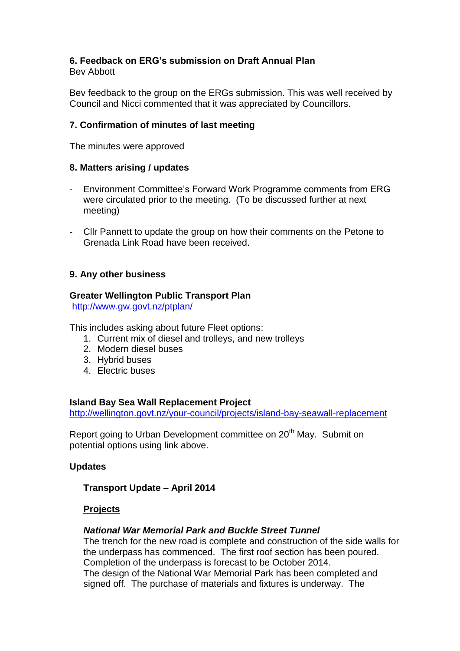# **6. Feedback on ERG's submission on Draft Annual Plan**

Bev Abbott

Bev feedback to the group on the ERGs submission. This was well received by Council and Nicci commented that it was appreciated by Councillors.

# **7. Confirmation of minutes of last meeting**

The minutes were approved

# **8. Matters arising / updates**

- Environment Committee's Forward Work Programme comments from ERG were circulated prior to the meeting. (To be discussed further at next meeting)
- Cllr Pannett to update the group on how their comments on the Petone to Grenada Link Road have been received.

# **9. Any other business**

# **Greater Wellington Public Transport Plan**

<http://www.gw.govt.nz/ptplan/>

This includes asking about future Fleet options:

- 1. Current mix of diesel and trolleys, and new trolleys
- 2. Modern diesel buses
- 3. Hybrid buses
- 4. Electric buses

# **Island Bay Sea Wall Replacement Project**

<http://wellington.govt.nz/your-council/projects/island-bay-seawall-replacement>

Report going to Urban Development committee on 20<sup>th</sup> May. Submit on potential options using link above.

# **Updates**

# **Transport Update – April 2014**

# **Projects**

# *National War Memorial Park and Buckle Street Tunnel*

The trench for the new road is complete and construction of the side walls for the underpass has commenced. The first roof section has been poured. Completion of the underpass is forecast to be October 2014. The design of the National War Memorial Park has been completed and signed off. The purchase of materials and fixtures is underway. The